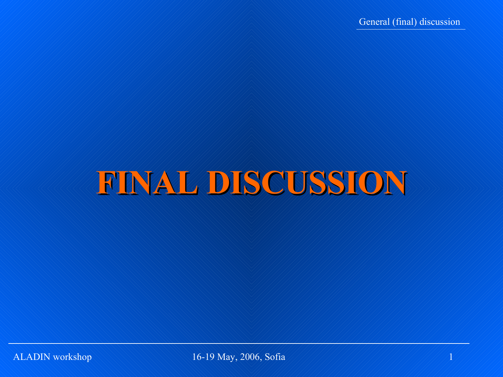# **FINAL DISCUSSION**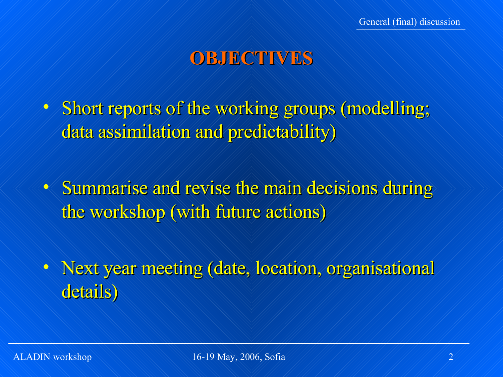### **OBJECTIVES**

- Short reports of the working groups (modelling; data assimilation and predictability)
- Summarise and revise the main decisions during the workshop (with future actions)
- Next year meeting (date, location, organisational details)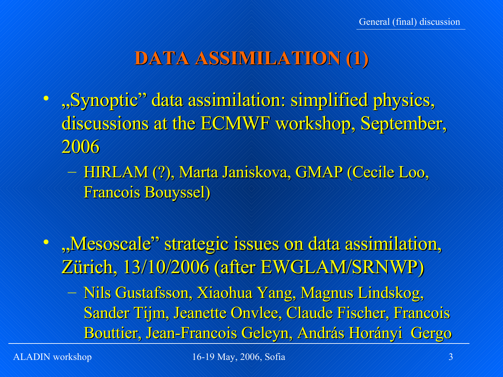## **DATA ASSIMILATION (1)**

- "Synoptic" data assimilation: simplified physics, discussions at the ECMWF workshop, September, 2006
	- HIRLAM (?), Marta Janiskova, GMAP (Cecile Loo, Francois Bouyssel)
- · "Mesoscale" strategic issues on data assimilation, Zürich, 13/10/2006 (after EWGLAM/SRNWP)
	- Nils Gustafsson, Xiaohua Yang, Magnus Lindskog, Sander Tijm, Jeanette Onvlee, Claude Fischer, Francois Bouttier, Jean-Francois Geleyn, András Horányi Gergo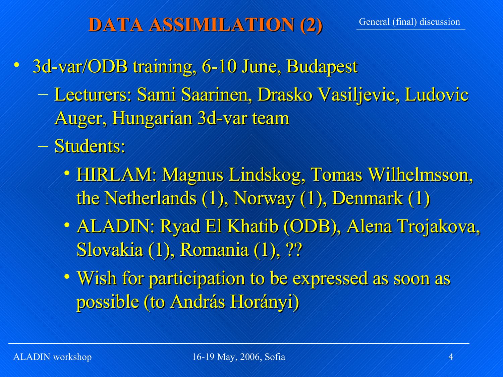## **DATA ASSIMILATION (2)**

- 3d-var/ODB training, 6-10 June, Budapest
	- Lecturers: Sami Saarinen, Drasko Vasiljevic, Ludovic Auger, Hungarian 3d-var team
	- Students:
		- HIRLAM: Magnus Lindskog, Tomas Wilhelmsson, the Netherlands (1), Norway (1), Denmark (1)
		- ALADIN: Ryad El Khatib (ODB), Alena Trojakova, Slovakia (1), Romania (1), ??
		- Wish for participation to be expressed as soon as possible (to András Horányi)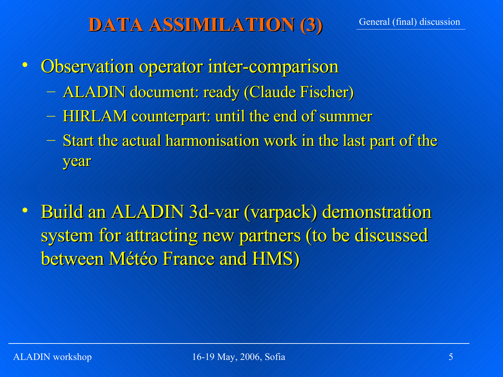## **DATA ASSIMILATION (3)**

- Observation operator inter-comparison
	- ALADIN document: ready (Claude Fischer)
	- HIRLAM counterpart: until the end of summer
	- $-$  Start the actual harmonisation work in the last part of the year
- Build an ALADIN 3d-var (varpack) demonstration system for attracting new partners (to be discussed between Météo France and HMS)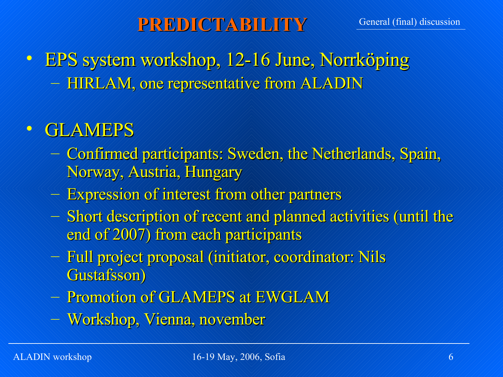## **PREDICTABILITY**

• EPS system workshop, 12-16 June, Norrköping – HIRLAM, one representative from ALADIN

# • GLAMEPS

- Confirmed participants: Sweden, the Netherlands, Spain, Norway, Austria, Hungary
- Expression of interest from other partners
- Short description of recent and planned activities (until the end of 2007) from each participants
- Full project proposal (initiator, coordinator: Nils Gustafsson)
- Promotion of GLAMEPS at EWGLAM
- Workshop, Vienna, november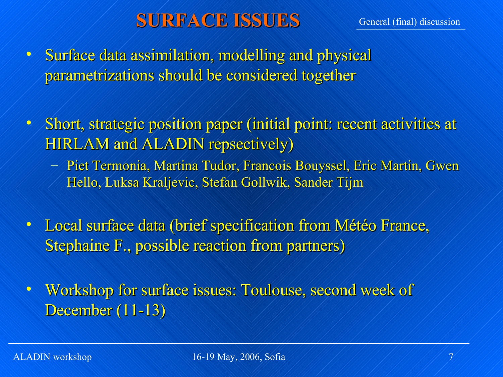### **SURFACE ISSUES**

- Surface data assimilation, modelling and physical parametrizations should be considered together
- Short, strategic position paper (initial point: recent activities at HIRLAM and ALADIN repsectively)
	- Piet Termonia, Martina Tudor, Francois Bouyssel, Eric Martin, Gwen Hello, Luksa Kraljevic, Stefan Gollwik, Sander Tijm
- Local surface data (brief specification from Météo France, Stephaine F., possible reaction from partners)

• Workshop for surface issues: Toulouse, second week of December (11-13)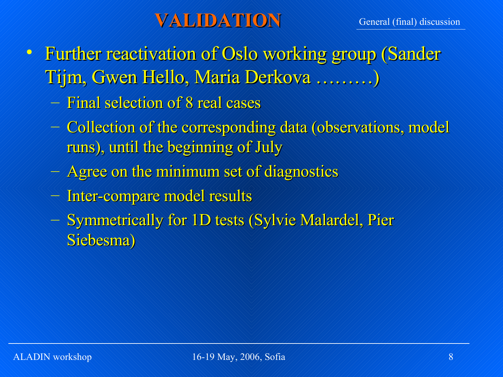#### **VALIDATION**

- Further reactivation of Oslo working group (Sander Tijm, Gwen Hello, Maria Derkova ………)
	- Final selection of 8 real cases
	- Collection of the corresponding data (observations, model runs), until the beginning of July
	- Agree on the minimum set of diagnostics
	- Inter-compare model results
	- Symmetrically for 1D tests (Sylvie Malardel, Pier Siebesma)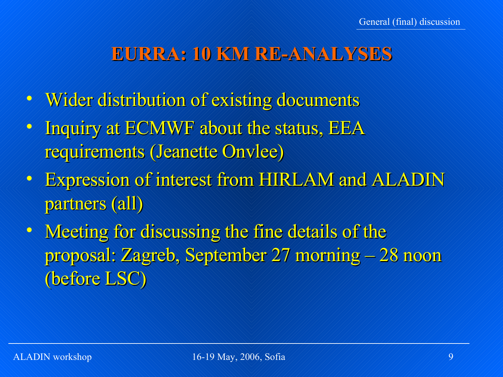#### **EURRA: 10 KM RE-ANALYSES**

- Wider distribution of existing documents
- Inquiry at ECMWF about the status, EEA requirements (Jeanette Onvlee)
- Expression of interest from HIRLAM and ALADIN partners (all)
- Meeting for discussing the fine details of the proposal: Zagreb, September 27 morning – 28 noon (before LSC)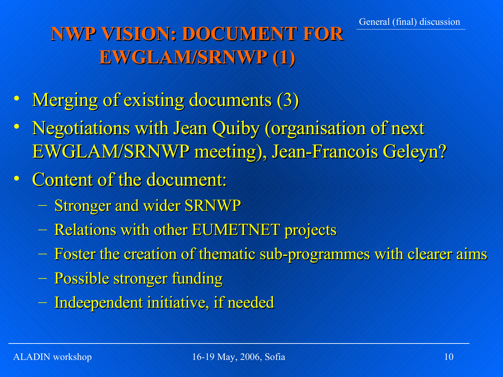# **NWP VISION: DOCUMENT FOR EWGLAM/SRNWP (1)**

- Merging of existing documents (3)
- Negotiations with Jean Quiby (organisation of next EWGLAM/SRNWP meeting), Jean-Francois Geleyn?
- Content of the document:
	- Stronger and wider SRNWP
	- Relations with other EUMETNET projects
	- Foster the creation of thematic sub-programmes with clearer aims
	- Possible stronger funding
	- Indeependent initiative, if needed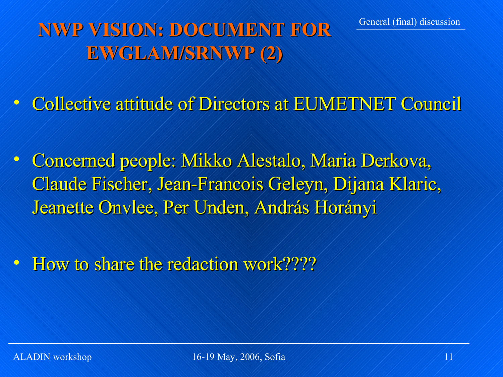# **NWP VISION: DOCUMENT FOR EWGLAM/SRNWP (2)**

- Collective attitude of Directors at EUMETNET Council
- Concerned people: Mikko Alestalo, Maria Derkova, Claude Fischer, Jean-Francois Geleyn, Dijana Klaric, Jeanette Onvlee, Per Unden, András Horányi
- How to share the redaction work?????

General (final) discussion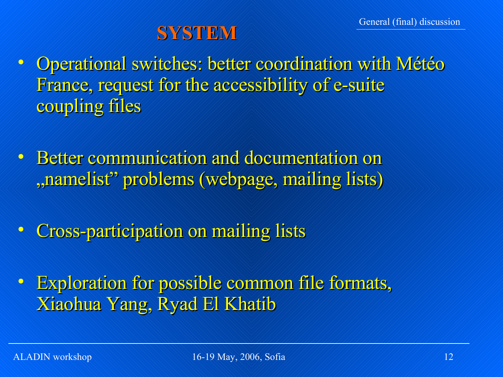# **SYSTEM**

- Operational switches: better coordination with Météo France, request for the accessibility of e-suite coupling files
- Better communication and documentation on , namelist" problems (webpage, mailing lists)
- Cross-participation on mailing lists
- Exploration for possible common file formats, Xiaohua Yang, Ryad El Khatib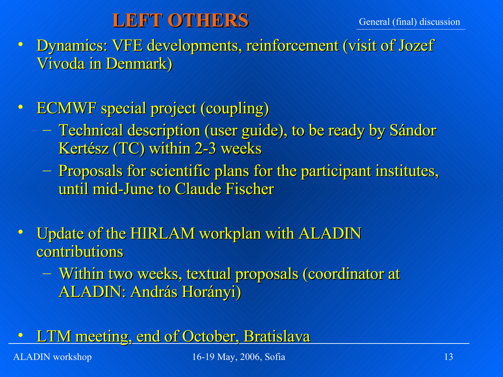#### **LEFT OTHERS**

• Dynamics: VFE developments, reinforcement (visit of Jozef Vivoda in Denmark)

- ECMWF special project (coupling)
	- Fechnical description (user guide), to be ready by Sándor Kertész (TC) within 2-3 weeks
	- Proposals for scientific plans for the participant institutes, until mid-June to Claude Fischer
- Update of the HIRLAM workplan with ALADIN contributions
	- Within two weeks, textual proposals (coordinator at ALADIN: András Horányi)
- **LTM meeting, end of October, Bratislava**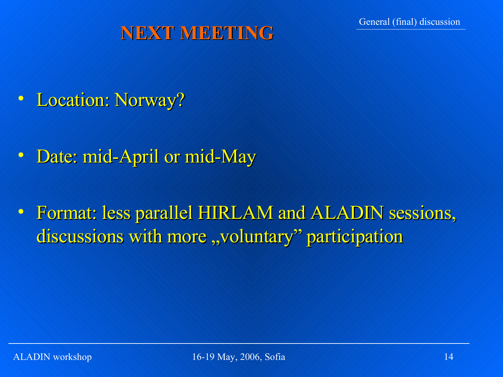# **NEXT MEETING**

- Location: Norway?
- Date: mid-April or mid-May
- Format: less parallel HIRLAM and ALADIN sessions, discussions with more "voluntary" participation